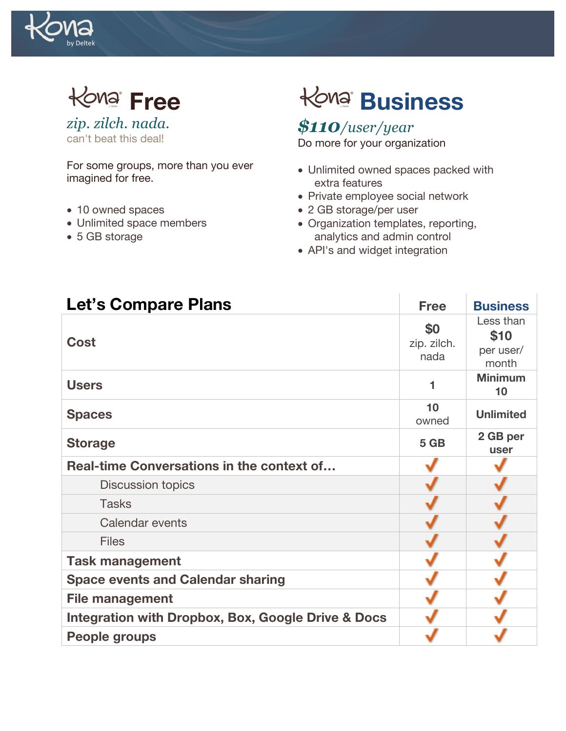

**Free**

*zip. zilch. nada.* can't beat this deal!

For some groups, more than you ever imagined for free.

- 10 owned spaces
- Unlimited space members
- 5 GB storage

# **Business**

*\$110/user/year* Do more for your organization

- Unlimited owned spaces packed with extra features
- Private employee social network
- 2 GB storage/per user
- Organization templates, reporting, analytics and admin control
- API's and widget integration

| <b>Let's Compare Plans</b>                                    | <b>Free</b>                | <b>Business</b>                         |
|---------------------------------------------------------------|----------------------------|-----------------------------------------|
| Cost                                                          | \$0<br>zip. zilch.<br>nada | Less than<br>\$10<br>per user/<br>month |
| <b>Users</b>                                                  |                            | <b>Minimum</b><br>10                    |
| <b>Spaces</b>                                                 | 10<br>owned                | <b>Unlimited</b>                        |
| <b>Storage</b>                                                | 5 GB                       | 2 GB per<br>user                        |
| Real-time Conversations in the context of                     |                            |                                         |
| Discussion topics                                             |                            |                                         |
| <b>Tasks</b>                                                  |                            |                                         |
| <b>Calendar events</b>                                        |                            |                                         |
| <b>Files</b>                                                  |                            |                                         |
| <b>Task management</b>                                        |                            |                                         |
| <b>Space events and Calendar sharing</b>                      |                            |                                         |
| <b>File management</b>                                        |                            |                                         |
| <b>Integration with Dropbox, Box, Google Drive &amp; Docs</b> |                            |                                         |
| <b>People groups</b>                                          |                            |                                         |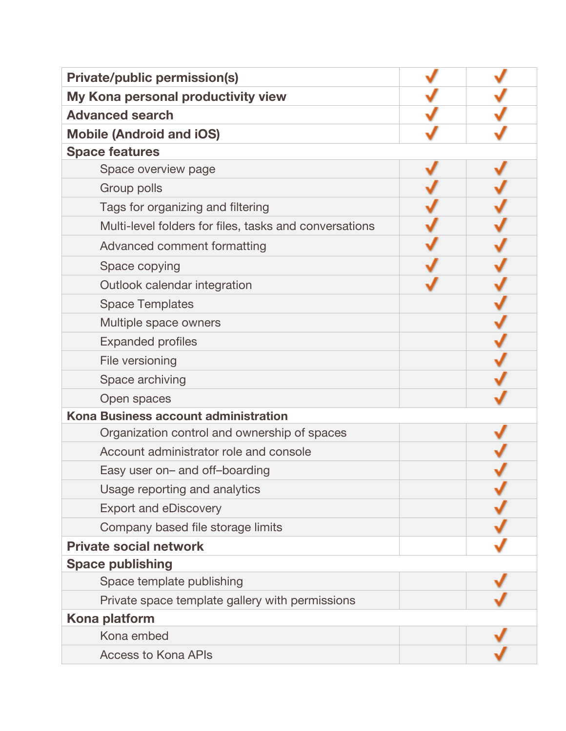| <b>Private/public permission(s)</b>                    |  |
|--------------------------------------------------------|--|
| My Kona personal productivity view                     |  |
| <b>Advanced search</b>                                 |  |
| <b>Mobile (Android and iOS)</b>                        |  |
| <b>Space features</b>                                  |  |
| Space overview page                                    |  |
| Group polls                                            |  |
| Tags for organizing and filtering                      |  |
| Multi-level folders for files, tasks and conversations |  |
| Advanced comment formatting                            |  |
| Space copying                                          |  |
| Outlook calendar integration                           |  |
| <b>Space Templates</b>                                 |  |
| Multiple space owners                                  |  |
| <b>Expanded profiles</b>                               |  |
| File versioning                                        |  |
| Space archiving                                        |  |
| Open spaces                                            |  |
| Kona Business account administration                   |  |
| Organization control and ownership of spaces           |  |
| Account administrator role and console                 |  |
| Easy user on- and off-boarding                         |  |
| Usage reporting and analytics                          |  |
| <b>Export and eDiscovery</b>                           |  |
| Company based file storage limits                      |  |
| <b>Private social network</b>                          |  |
| <b>Space publishing</b>                                |  |
| Space template publishing                              |  |
| Private space template gallery with permissions        |  |
| Kona platform                                          |  |
| Kona embed                                             |  |
| <b>Access to Kona APIs</b>                             |  |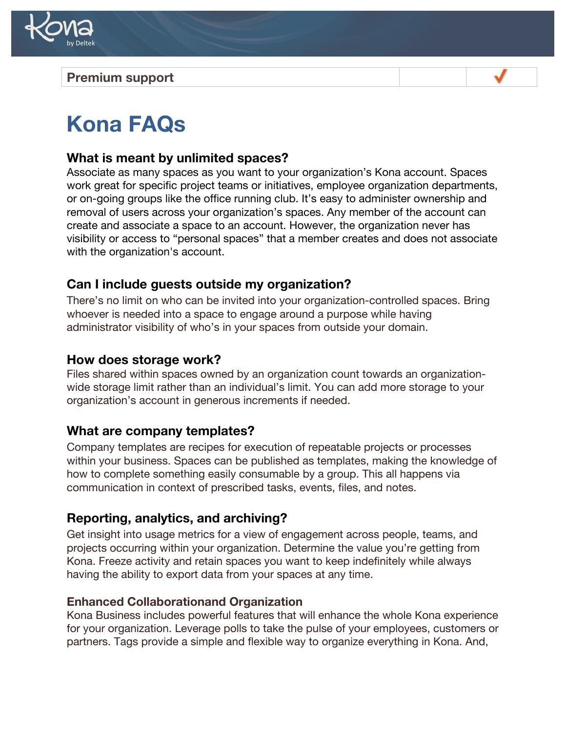

## **Premium support**

# **Kona FAQs**

#### **What is meant by unlimited spaces?**

Associate as many spaces as you want to your organization's Kona account. Spaces work great for specific project teams or initiatives, employee organization departments, or on-going groups like the office running club. It's easy to administer ownership and removal of users across your organization's spaces. Any member of the account can create and associate a space to an account. However, the organization never has visibility or access to "personal spaces" that a member creates and does not associate with the organization's account.

#### **Can I include guests outside my organization?**

There's no limit on who can be invited into your organization-controlled spaces. Bring whoever is needed into a space to engage around a purpose while having administrator visibility of who's in your spaces from outside your domain.

#### **How does storage work?**

Files shared within spaces owned by an organization count towards an organizationwide storage limit rather than an individual's limit. You can add more storage to your organization's account in generous increments if needed.

#### **What are company templates?**

Company templates are recipes for execution of repeatable projects or processes within your business. Spaces can be published as templates, making the knowledge of how to complete something easily consumable by a group. This all happens via communication in context of prescribed tasks, events, files, and notes.

#### **Reporting, analytics, and archiving?**

Get insight into usage metrics for a view of engagement across people, teams, and projects occurring within your organization. Determine the value you're getting from Kona. Freeze activity and retain spaces you want to keep indefinitely while always having the ability to export data from your spaces at any time.

#### **Enhanced Collaborationand Organization**

Kona Business includes powerful features that will enhance the whole Kona experience for your organization. Leverage polls to take the pulse of your employees, customers or partners. Tags provide a simple and flexible way to organize everything in Kona. And,